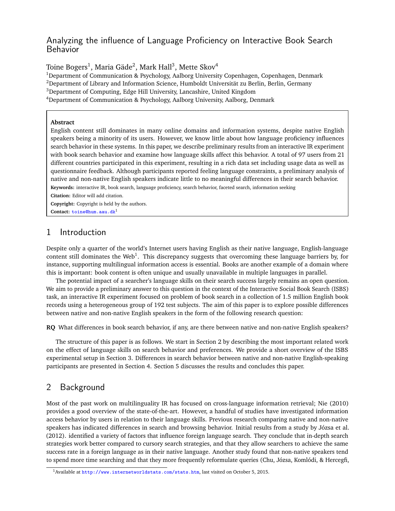# Analyzing the influence of Language Proficiency on Interactive Book Search Behavior

Toine Bogers $^1$ , Maria Gäde $^2$ , Mark Hall $^3$ , Mette Skov $^4$ 

<sup>1</sup>Department of Communication & Psychology, Aalborg University Copenhagen, Copenhagen, Denmark

 $2$ Department of Library and Information Science, Humboldt Universität zu Berlin, Berlin, Germany

<sup>3</sup>Department of Computing, Edge Hill University, Lancashire, United Kingdom

<sup>4</sup>Department of Communication & Psychology, Aalborg University, Aalborg, Denmark

#### **Abstract**

English content still dominates in many online domains and information systems, despite native English speakers being a minority of its users. However, we know little about how language proficiency influences search behavior in these systems. In this paper, we describe preliminary results from an interactive IR experiment with book search behavior and examine how language skills affect this behavior. A total of 97 users from 21 different countries participated in this experiment, resulting in a rich data set including usage data as well as questionnaire feedback. Although participants reported feeling language constraints, a preliminary analysis of native and non-native English speakers indicate little to no meaningful differences in their search behavior.

**Keywords:** interactive IR, book search, language proficiency, search behavior, faceted search, information seeking

**Citation:** Editor will add citation.

**Copyright:** Copyright is held by the authors. **Contact:** <toine@hum.aau.dk><sup>1</sup>

# 1 Introduction

Despite only a quarter of the world's Internet users having English as their native language, English-language content still dominates the Web<sup>1</sup>. This discrepancy suggests that overcoming these language barriers by, for instance, supporting multilingual information access is essential. Books are another example of a domain where this is important: book content is often unique and usually unavailable in multiple languages in parallel.

The potential impact of a searcher's language skills on their search success largely remains an open question. We aim to provide a preliminary answer to this question in the context of the Interactive Social Book Search (ISBS) task, an interactive IR experiment focused on problem of book search in a collection of 1.5 million English book records using a heterogeneous group of 192 test subjects. The aim of this paper is to explore possible differences between native and non-native English speakers in the form of the following research question:

**RQ** What differences in book search behavior, if any, are there between native and non-native English speakers?

The structure of this paper is as follows. We start in Section 2 by describing the most important related work on the effect of language skills on search behavior and preferences. We provide a short overview of the ISBS experimental setup in Section 3. Differences in search behavior between native and non-native English-speaking participants are presented in Section 4. Section 5 discusses the results and concludes this paper.

# 2 Background

Most of the past work on multilinguality IR has focused on cross-language information retrieval; Nie (2010) provides a good overview of the state-of-the-art. However, a handful of studies have investigated information access behavior by users in relation to their language skills. Previous research comparing native and non-native speakers has indicated differences in search and browsing behavior. Initial results from a study by Józsa et al. (2012). identified a variety of factors that influence foreign language search. They conclude that in-depth search strategies work better compared to cursory search strategies, and that they allow searchers to achieve the same success rate in a foreign language as in their native language. Another study found that non-native speakers tend to spend more time searching and that they more frequently reformulate queries (Chu, Józsa, Komlódi, & Hercegfi,

<sup>&</sup>lt;sup>1</sup> Available at <http://www.internetworldstats.com/stats.htm>, last visited on October 5, 2015.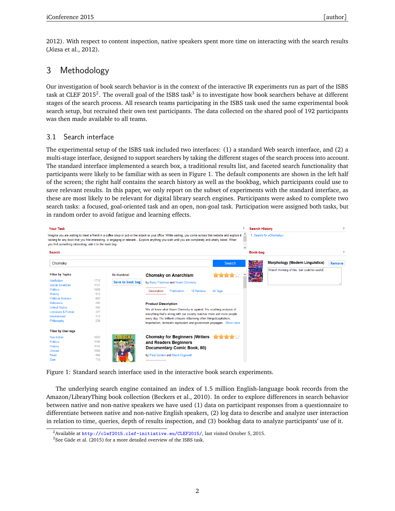2012). With respect to content inspection, native speakers spent more time on interacting with the search results (Józsa et al., 2012).

# 3 Methodology

Our investigation of book search behavior is in the context of the interactive IR experiments run as part of the ISBS task at CLEF 2015<sup>2</sup>. The overall goal of the ISBS task $^3$  is to investigate how book searchers behave at different stages of the search process. All research teams participating in the ISBS task used the same experimental book search setup, but recruited their own test participants. The data collected on the shared pool of 192 participants was then made available to all teams.

## 3.1 Search interface

The experimental setup of the ISBS task included two interfaces: (1) a standard Web search interface, and (2) a multi-stage interface, designed to support searchers by taking the different stages of the search process into account. The standard interface implemented a search box, a traditional results list, and faceted search functionality that participants were likely to be familiar with as seen in Figure 1. The default components are shown in the left half of the screen; the right half contains the search history as well as the bookbag, which participants could use to save relevant results. In this paper, we only report on the subset of experiments with the standard interface, as these are most likely to be relevant for digital library search engines. Participants were asked to complete two search tasks: a focused, goal-oriented task and an open, non-goal task. Participation were assigned both tasks, but in random order to avoid fatigue and learning effects.

| <b>Your Task</b>                                                                                                                                                                                                                                                                                                                                                            |                                                                       |                  |                                                                                                                                                                                                                                                                                                                                                                                                                                 |             | 2            | <b>Search History</b>   |                                              | o      |
|-----------------------------------------------------------------------------------------------------------------------------------------------------------------------------------------------------------------------------------------------------------------------------------------------------------------------------------------------------------------------------|-----------------------------------------------------------------------|------------------|---------------------------------------------------------------------------------------------------------------------------------------------------------------------------------------------------------------------------------------------------------------------------------------------------------------------------------------------------------------------------------------------------------------------------------|-------------|--------------|-------------------------|----------------------------------------------|--------|
| Imagine you are waiting to meet a friend in a coffee shop or pub or the airport or your office. While waiting, you come across this website and explore it<br>looking for any book that you find interesting, or engaging or relevant Explore anything you wish until you are completely and utterly bored. When<br>you find something interesting, add it to the book-bag. |                                                                       |                  |                                                                                                                                                                                                                                                                                                                                                                                                                                 |             |              | 1. Search for »Chomsky« |                                              |        |
| Search                                                                                                                                                                                                                                                                                                                                                                      |                                                                       |                  |                                                                                                                                                                                                                                                                                                                                                                                                                                 |             | $\checkmark$ | <b>Book-bag</b>         |                                              | 2      |
| Chomsky                                                                                                                                                                                                                                                                                                                                                                     |                                                                       |                  |                                                                                                                                                                                                                                                                                                                                                                                                                                 | Search      |              |                         | <b>Morphology (Modern Linguistics)</b>       | Remove |
| <b>Filter by Topics</b>                                                                                                                                                                                                                                                                                                                                                     |                                                                       | No thumbnail     | <b>Chomsky on Anarchism</b>                                                                                                                                                                                                                                                                                                                                                                                                     |             |              | <b>ORPHOLOG</b>         | Wasn't thinking of this, but could be useful |        |
| <b>Nonfiction</b><br><b>Social Sciences</b><br><b>Politics</b><br>History<br><b>Political Science</b><br>Reference<br><b>United States</b><br><b>Literature &amp; Fiction</b><br>International<br>Philosophy                                                                                                                                                                | 1719<br>1157<br>1009<br>912<br>662<br>495<br>465<br>327<br>313<br>239 | Save to book bag | by Barry Pateman and Noam Chomsky<br><b>Publication</b><br><b>12 Reviews</b><br><b>Description</b><br><b>Product Description</b><br>We all know what Noam Chomsky is against. His scathing analysis of<br>everything that's wrong with our society reaches more and more people<br>every day. His brilliant critiques of among other things acapitalism,<br>imperialism, domestic repression and government propagant Show more | 44 Tags     |              |                         |                                              |        |
| <b>Filter by User tags</b><br>Non-fiction<br><b>Politics</b><br>History<br>Unread<br>Read<br>Own                                                                                                                                                                                                                                                                            | 1633<br>1190<br>1145<br>1060<br>984<br>710                            |                  | <b>Chomsky for Beginners (Writers</b><br>and Readers Beginners<br>Documentary Comic Book, 80)<br>by Paul Gordon and David Cogswell                                                                                                                                                                                                                                                                                              | <b>文字文字</b> |              |                         |                                              |        |

Figure 1: Standard search interface used in the interactive book search experiments.

The underlying search engine contained an index of 1.5 million English-language book records from the Amazon/LibraryThing book collection (Beckers et al., 2010). In order to explore differences in search behavior between native and non-native speakers we have used (1) data on participant responses from a questionnaire to differentiate between native and non-native English speakers, (2) log data to describe and analyze user interaction in relation to time, queries, depth of results inspection, and (3) bookbag data to analyze participants' use of it.

<sup>&</sup>lt;sup>2</sup> Available at <http://clef2015.clef-initiative.eu/CLEF2015/>, last visited October 5, 2015.

 $3$ See Gäde et al. (2015) for a more detailed overview of the ISBS task.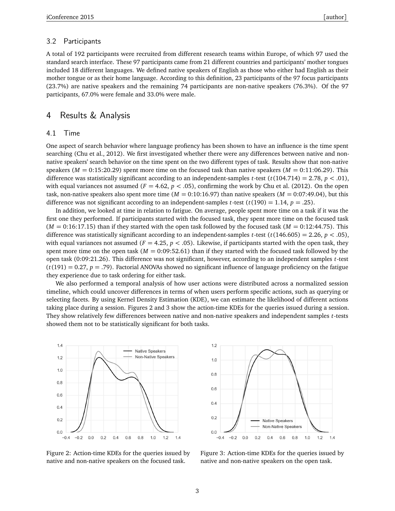#### 3.2 Participants

A total of 192 participants were recruited from different research teams within Europe, of which 97 used the standard search interface. These 97 participants came from 21 different countries and participants' mother tongues included 18 different languages. We defined native speakers of English as those who either had English as their mother tongue or as their home language. According to this definition, 23 participants of the 97 focus participants (23.7%) are native speakers and the remaining 74 participants are non-native speakers (76.3%). Of the 97 participants, 67.0% were female and 33.0% were male.

### 4 Results & Analysis

#### 4.1 Time

One aspect of search behavior where language profiency has been shown to have an influence is the time spent searching (Chu et al., 2012). We first investigated whether there were any differences between native and nonnative speakers' search behavior on the time spent on the two different types of task. Results show that non-native speakers ( $M = 0.15:20.29$ ) spent more time on the focused task than native speakers ( $M = 0.11:06.29$ ). This difference was statistically significant according to an independent-samples *t*-test (*t*(104.714) = 2.78, *p* < .01), with equal variances not assumed ( $F = 4.62$ ,  $p < .05$ ), confirming the work by Chu et al. (2012). On the open task, non-native speakers also spent more time  $(M = 0.10:16.97)$  than native speakers  $(M = 0.07:49.04)$ , but this difference was not significant according to an independent-samples *t*-test ( $t(190) = 1.14$ ,  $p = .25$ ).

In addition, we looked at time in relation to fatigue. On average, people spent more time on a task if it was the first one they performed. If participants started with the focused task, they spent more time on the focused task  $(M = 0.16:17.15)$  than if they started with the open task followed by the focused task  $(M = 0.12:44.75)$ . This difference was statistically significant according to an independent-samples *t*-test ( $t(146.605) = 2.26, p < .05$ ), with equal variances not assumed ( $F = 4.25$ ,  $p < .05$ ). Likewise, if participants started with the open task, they spent more time on the open task ( $M = 0.09$ :52.61) than if they started with the focused task followed by the open task (0:09:21.26). This difference was not significant, however, according to an independent samples *t*-test  $(t(191) = 0.27, p = .79)$ . Factorial ANOVAs showed no significant influence of language proficiency on the fatigue they experience due to task ordering for either task.

We also performed a temporal analysis of how user actions were distributed across a normalized session timeline, which could uncover differences in terms of when users perform specific actions, such as querying or selecting facets. By using Kernel Density Estimation (KDE), we can estimate the likelihood of different actions taking place during a session. Figures 2 and 3 show the action-time KDEs for the queries issued during a session. They show relatively few differences between native and non-native speakers and independent samples *t*-tests showed them not to be statistically significant for both tasks.



Figure 2: Action-time KDEs for the queries issued by native and non-native speakers on the focused task.



Figure 3: Action-time KDEs for the queries issued by native and non-native speakers on the open task.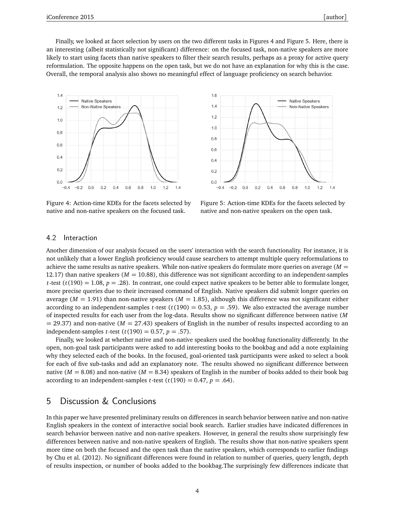Finally, we looked at facet selection by users on the two different tasks in Figures 4 and Figure 5. Here, there is an interesting (albeit statistically not significant) difference: on the focused task, non-native speakers are more likely to start using facets than native speakers to filter their search results, perhaps as a proxy for active query reformulation. The opposite happens on the open task, but we do not have an explanation for why this is the case. Overall, the temporal analysis also shows no meaningful effect of language proficiency on search behavior.



Figure 4: Action-time KDEs for the facets selected by native and non-native speakers on the focused task.



Figure 5: Action-time KDEs for the facets selected by native and non-native speakers on the open task.

### 4.2 Interaction

Another dimension of our analysis focused on the users' interaction with the search functionality. For instance, it is not unlikely that a lower English proficiency would cause searchers to attempt multiple query reformulations to achieve the same results as native speakers. While non-native speakers do formulate more queries on average (*M* = 12.17) than native speakers ( $M = 10.88$ ), this difference was not significant according to an independent-samples *t*-test ( $t(190) = 1.08$ ,  $p = .28$ ). In contrast, one could expect native speakers to be better able to formulate longer, more precise queries due to their increased command of English. Native speakers did submit longer queries on average ( $M = 1.91$ ) than non-native speakers ( $M = 1.85$ ), although this difference was not significant either according to an independent-samples *t*-test ( $t(190) = 0.53$ ,  $p = .59$ ). We also extracted the average number of inspected results for each user from the log-data. Results show no significant difference between native (*M*  $=$  29.37) and non-native ( $M = 27.43$ ) speakers of English in the number of results inspected according to an independent-samples *t*-test ( $t(190) = 0.57$ ,  $p = .57$ ).

Finally, we looked at whether native and non-native speakers used the bookbag functionality differently. In the open, non-goal task participants were asked to add interesting books to the bookbag and add a note explaining why they selected each of the books. In the focused, goal-oriented task participants were asked to select a book for each of five sub-tasks and add an explanatory note. The results showed no significant difference between native ( $M = 8.08$ ) and non-native ( $M = 8.34$ ) speakers of English in the number of books added to their book bag according to an independent-samples *t*-test ( $t(190) = 0.47$ ,  $p = .64$ ).

## 5 Discussion & Conclusions

In this paper we have presented preliminary results on differences in search behavior between native and non-native English speakers in the context of interactive social book search. Earlier studies have indicated differences in search behavior between native and non-native speakers. However, in general the results show surprisingly few differences between native and non-native speakers of English. The results show that non-native speakers spent more time on both the focused and the open task than the native speakers, which corresponds to earlier findings by Chu et al. (2012). No significant differences were found in relation to number of queries, query length, depth of results inspection, or number of books added to the bookbag.The surprisingly few differences indicate that